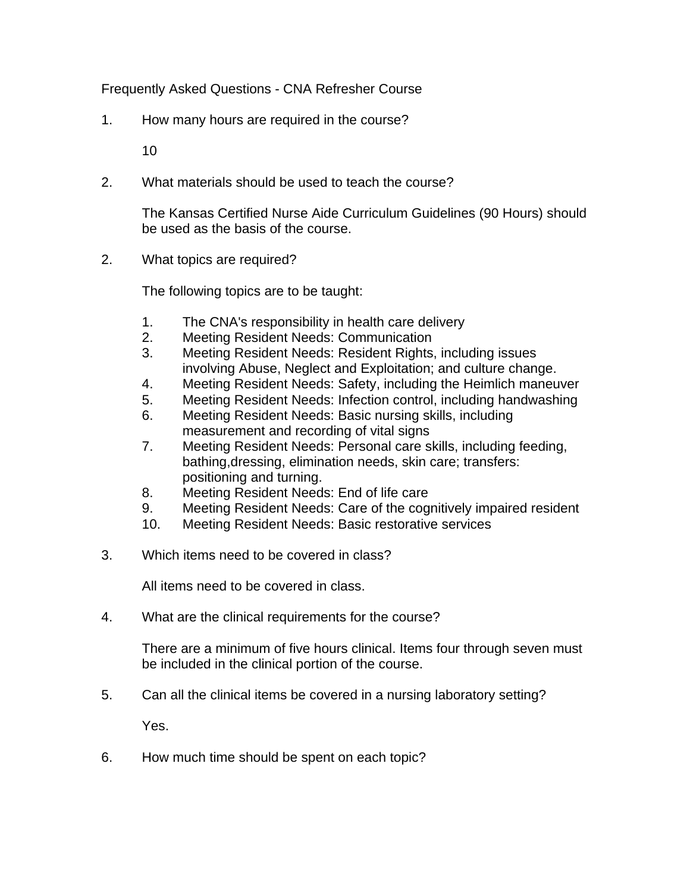Frequently Asked Questions - CNA Refresher Course

1. How many hours are required in the course?

10

2. What materials should be used to teach the course?

 The Kansas Certified Nurse Aide Curriculum Guidelines (90 Hours) should be used as the basis of the course.

2. What topics are required?

The following topics are to be taught:

- 1. The CNA's responsibility in health care delivery
- 2. Meeting Resident Needs: Communication
- 3. Meeting Resident Needs: Resident Rights, including issues involving Abuse, Neglect and Exploitation; and culture change.
- 4. Meeting Resident Needs: Safety, including the Heimlich maneuver
- 5. Meeting Resident Needs: Infection control, including handwashing
- 6. Meeting Resident Needs: Basic nursing skills, including measurement and recording of vital signs
- 7. Meeting Resident Needs: Personal care skills, including feeding, bathing,dressing, elimination needs, skin care; transfers: positioning and turning.
- 8. Meeting Resident Needs: End of life care
- 9. Meeting Resident Needs: Care of the cognitively impaired resident
- 10. Meeting Resident Needs: Basic restorative services
- 3. Which items need to be covered in class?

All items need to be covered in class.

4. What are the clinical requirements for the course?

 There are a minimum of five hours clinical. Items four through seven must be included in the clinical portion of the course.

5. Can all the clinical items be covered in a nursing laboratory setting?

Yes.

6. How much time should be spent on each topic?